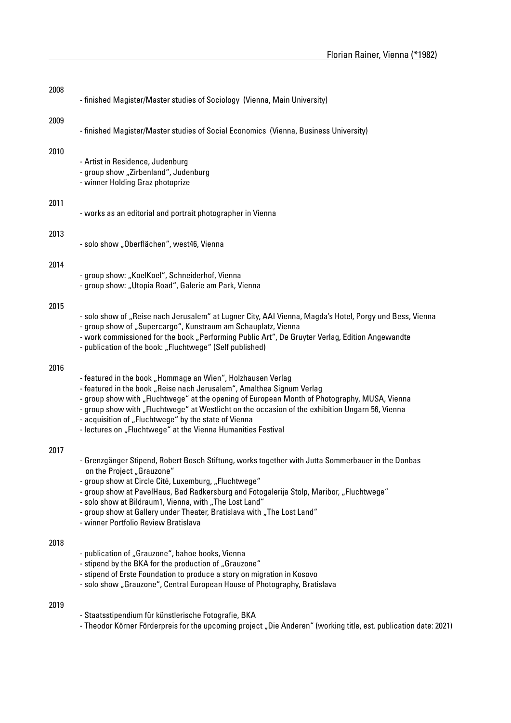| 2008 | - finished Magister/Master studies of Sociology (Vienna, Main University)                                                                                                                                                                                                                                                                                                                                                                                       |
|------|-----------------------------------------------------------------------------------------------------------------------------------------------------------------------------------------------------------------------------------------------------------------------------------------------------------------------------------------------------------------------------------------------------------------------------------------------------------------|
| 2009 | - finished Magister/Master studies of Social Economics (Vienna, Business University)                                                                                                                                                                                                                                                                                                                                                                            |
| 2010 | - Artist in Residence, Judenburg<br>- group show "Zirbenland", Judenburg<br>- winner Holding Graz photoprize                                                                                                                                                                                                                                                                                                                                                    |
| 2011 | - works as an editorial and portrait photographer in Vienna                                                                                                                                                                                                                                                                                                                                                                                                     |
| 2013 | - solo show "Oberflächen", west46, Vienna                                                                                                                                                                                                                                                                                                                                                                                                                       |
| 2014 | - group show: "KoelKoel", Schneiderhof, Vienna<br>- group show: "Utopia Road", Galerie am Park, Vienna                                                                                                                                                                                                                                                                                                                                                          |
| 2015 | - solo show of "Reise nach Jerusalem" at Lugner City, AAI Vienna, Magda's Hotel, Porgy und Bess, Vienna<br>- group show of "Supercargo", Kunstraum am Schauplatz, Vienna<br>- work commissioned for the book "Performing Public Art", De Gruyter Verlag, Edition Angewandte<br>- publication of the book: "Fluchtwege" (Self published)                                                                                                                         |
| 2016 | - featured in the book "Hommage an Wien", Holzhausen Verlag<br>- featured in the book "Reise nach Jerusalem", Amalthea Signum Verlag<br>- group show with "Fluchtwege" at the opening of European Month of Photography, MUSA, Vienna<br>- group show with "Fluchtwege" at Westlicht on the occasion of the exhibition Ungarn 56, Vienna<br>- acquisition of "Fluchtwege" by the state of Vienna<br>- lectures on "Fluchtwege" at the Vienna Humanities Festival |
| 2017 | - Grenzgänger Stipend, Robert Bosch Stiftung, works together with Jutta Sommerbauer in the Donbas<br>on the Project "Grauzone"<br>- group show at Circle Cité, Luxemburg, "Fluchtwege"<br>- group show at PavelHaus, Bad Radkersburg and Fotogalerija Stolp, Maribor, "Fluchtwege"<br>- solo show at Bildraum1, Vienna, with "The Lost Land"<br>- group show at Gallery under Theater, Bratislava with "The Lost Land"<br>- winner Portfolio Review Bratislava  |
| 2018 | - publication of "Grauzone", bahoe books, Vienna<br>- stipend by the BKA for the production of "Grauzone"<br>- stipend of Erste Foundation to produce a story on migration in Kosovo<br>- solo show "Grauzone", Central European House of Photography, Bratislava                                                                                                                                                                                               |

## 2019

- Staatsstipendium für künstlerische Fotografie, BKA
- Theodor Körner Förderpreis for the upcoming project "Die Anderen" (working title, est. publication date: 2021)